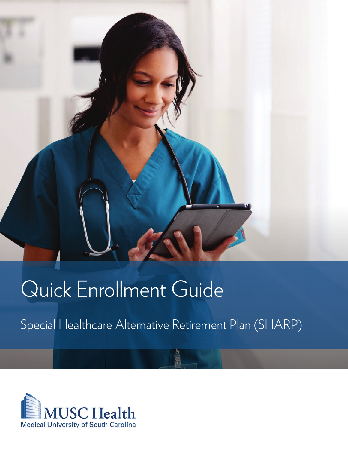

# Quick Enrollment Guide

Special Healthcare Alternative Retirement Plan (SHARP)

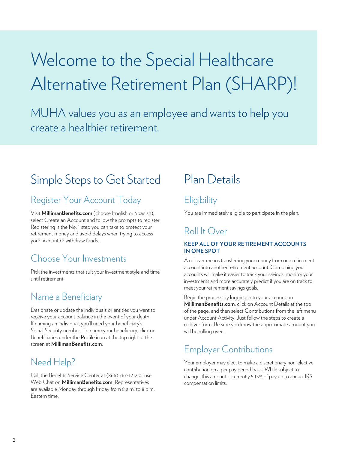# Welcome to the Special Healthcare Alternative Retirement Plan (SHARP)!

MUHA values you as an employee and wants to help you create a healthier retirement.

## Simple Steps to Get Started

## Register Your Account Today

Visit **MillimanBenefits.com** (choose English or Spanish), select Create an Account and follow the prompts to register. Registering is the No. 1 step you can take to protect your retirement money and avoid delays when trying to access your account or withdraw funds.

## Choose Your Investments

Pick the investments that suit your investment style and time until retirement.

### Name a Beneficiary

Designate or update the individuals or entities you want to receive your account balance in the event of your death. If naming an individual, you'll need your beneficiary's Social Security number. To name your beneficiary, click on Beneficiaries under the Profile icon at the top right of the screen at **MillimanBenefits.com**.

## Need Help?

Call the Benefits Service Center at (866) 767-1212 or use Web Chat on **MillimanBenefits.com**. Representatives are available Monday through Friday from 8 a.m. to 8 p.m. Eastern time.

## Plan Details

## **Eligibility**

You are immediately eligible to participate in the plan.

## Roll It Over

#### **KEEP ALL OF YOUR RETIREMENT ACCOUNTS IN ONE SPOT**

A rollover means transferring your money from one retirement account into another retirement account. Combining your accounts will make it easier to track your savings, monitor your investments and more accurately predict if you are on track to meet your retirement savings goals.

Begin the process by logging in to your account on **MillimanBenefits.com**, click on Account Details at the top of the page, and then select Contributions from the left menu under Account Activity. Just follow the steps to create a rollover form. Be sure you know the approximate amount you will be rolling over.

## Employer Contributions

Your employer may elect to make a discretionary non-elective contribution on a per pay period basis. While subject to change, this amount is currently 5.15% of pay up to annual IRS compensation limits.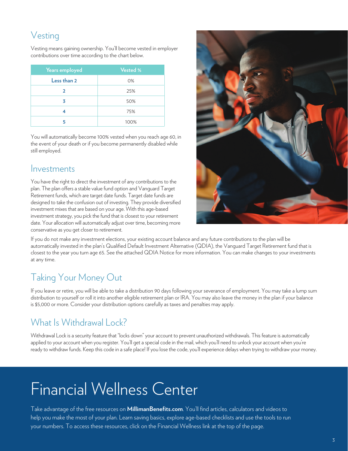## Vesting

Vesting means gaining ownership. You'll become vested in employer contributions over time according to the chart below.

| Years employed | <b>Vested %</b> |
|----------------|-----------------|
| Less than 2    | 0%              |
| כ              | 25%             |
| 3              | 50%             |
| 4              | 75%             |
|                | 100%            |

You will automatically become 100% vested when you reach age 60, in the event of your death or if you become permanently disabled while still employed.

### Investments

You have the right to direct the investment of any contributions to the plan. The plan offers a stable value fund option and Vanguard Target Retirement funds, which are target date funds. Target date funds are designed to take the confusion out of investing. They provide diversified investment mixes that are based on your age. With this age-based investment strategy, you pick the fund that is closest to your retirement date. Your allocation will automatically adjust over time, becoming more conservative as you get closer to retirement.



If you do not make any investment elections, your existing account balance and any future contributions to the plan will be automatically invested in the plan's Qualified Default Investment Alternative (QDIA), the Vanguard Target Retirement fund that is closest to the year you turn age 65. See the attached QDIA Notice for more information. You can make changes to your investments at any time.

## Taking Your Money Out

If you leave or retire, you will be able to take a distribution 90 days following your severance of employment. You may take a lump sum distribution to yourself or roll it into another eligible retirement plan or IRA. You may also leave the money in the plan if your balance is \$5,000 or more. Consider your distribution options carefully as taxes and penalties may apply.

## What Is Withdrawal Lock?

Withdrawal Lock is a security feature that "locks down" your account to prevent unauthorized withdrawals. This feature is automatically applied to your account when you register. You'll get a special code in the mail, which you'll need to unlock your account when you're ready to withdraw funds. Keep this code in a safe place! If you lose the code, you'll experience delays when trying to withdraw your money.

## Financial Wellness Center

Take advantage of the free resources on **MillimanBenefits.com**. You'll find articles, calculators and videos to help you make the most of your plan. Learn saving basics, explore age-based checklists and use the tools to run your numbers. To access these resources, click on the Financial Wellness link at the top of the page.